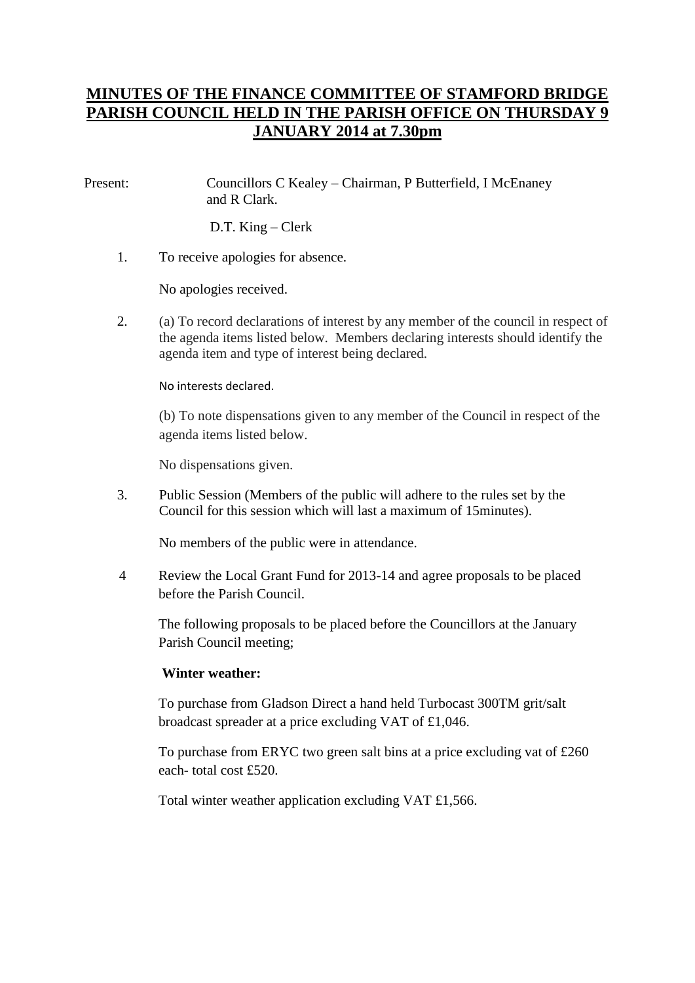# **MINUTES OF THE FINANCE COMMITTEE OF STAMFORD BRIDGE PARISH COUNCIL HELD IN THE PARISH OFFICE ON THURSDAY 9 JANUARY 2014 at 7.30pm**

Present: Councillors C Kealey – Chairman, P Butterfield, I McEnaney and R Clark.

D.T. King – Clerk

1. To receive apologies for absence.

No apologies received.

2. (a) To record declarations of interest by any member of the council in respect of the agenda items listed below. Members declaring interests should identify the agenda item and type of interest being declared.

#### No interests declared.

(b) To note dispensations given to any member of the Council in respect of the agenda items listed below.

No dispensations given.

3. Public Session (Members of the public will adhere to the rules set by the Council for this session which will last a maximum of 15minutes).

No members of the public were in attendance.

4 Review the Local Grant Fund for 2013-14 and agree proposals to be placed before the Parish Council.

The following proposals to be placed before the Councillors at the January Parish Council meeting;

#### **Winter weather:**

To purchase from Gladson Direct a hand held Turbocast 300TM grit/salt broadcast spreader at a price excluding VAT of £1,046.

To purchase from ERYC two green salt bins at a price excluding vat of £260 each- total cost £520.

Total winter weather application excluding VAT £1,566.